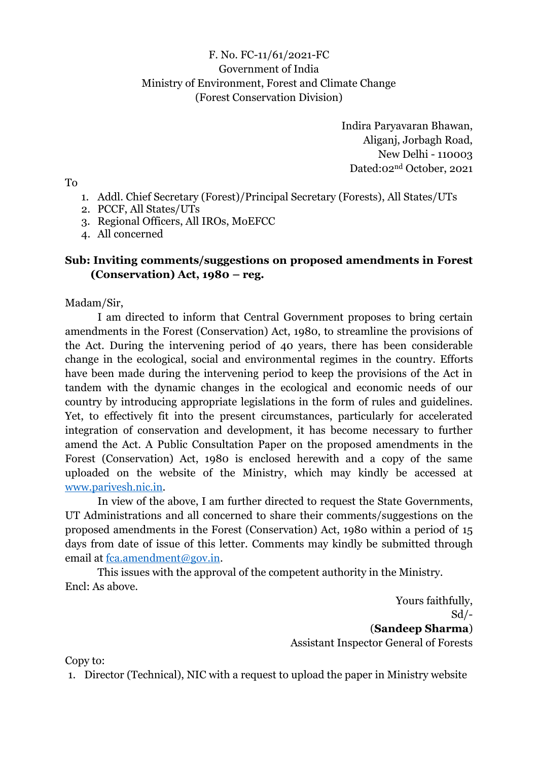### F. No. FC-11/61/2021-FC Government of India Ministry of Environment, Forest and Climate Change (Forest Conservation Division)

Indira Paryavaran Bhawan, Aliganj, Jorbagh Road, New Delhi - 110003 Dated:02nd October, 2021

To

- 1. Addl. Chief Secretary (Forest)/Principal Secretary (Forests), All States/UTs
- 2. PCCF, All States/UTs
- 3. Regional Officers, All IROs, MoEFCC
- 4. All concerned

### **Sub: Inviting comments/suggestions on proposed amendments in Forest (Conservation) Act, 1980 – reg.**

Madam/Sir,

I am directed to inform that Central Government proposes to bring certain amendments in the Forest (Conservation) Act, 1980, to streamline the provisions of the Act. During the intervening period of 40 years, there has been considerable change in the ecological, social and environmental regimes in the country. Efforts have been made during the intervening period to keep the provisions of the Act in tandem with the dynamic changes in the ecological and economic needs of our country by introducing appropriate legislations in the form of rules and guidelines. Yet, to effectively fit into the present circumstances, particularly for accelerated integration of conservation and development, it has become necessary to further amend the Act. A Public Consultation Paper on the proposed amendments in the Forest (Conservation) Act, 1980 is enclosed herewith and a copy of the same uploaded on the website of the Ministry, which may kindly be accessed at [www.parivesh.nic.in.](http://www.parivesh.nic.in/)

In view of the above, I am further directed to request the State Governments, UT Administrations and all concerned to share their comments/suggestions on the proposed amendments in the Forest (Conservation) Act, 1980 within a period of 15 days from date of issue of this letter. Comments may kindly be submitted through email at [fca.amendment@gov.in.](mailto:fca.amendment@gov.in)

This issues with the approval of the competent authority in the Ministry. Encl: As above.

> Yours faithfully, Sd/- (**Sandeep Sharma**) Assistant Inspector General of Forests

Copy to:

1. Director (Technical), NIC with a request to upload the paper in Ministry website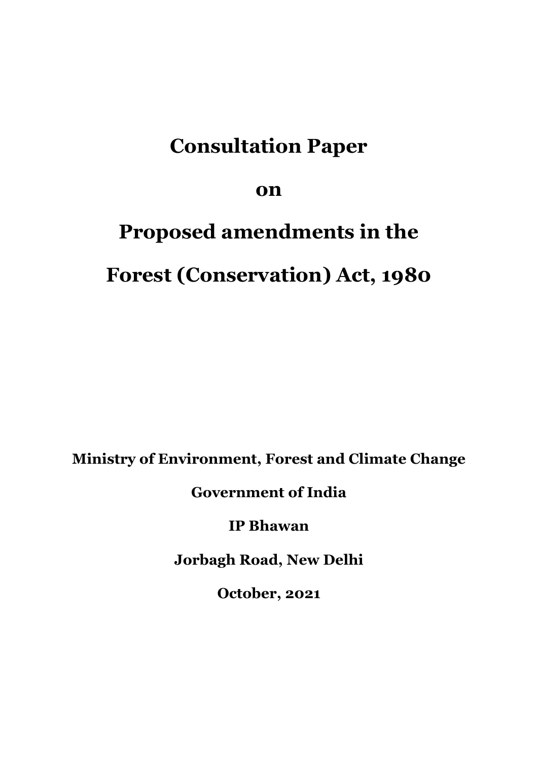## **Consultation Paper**

**on** 

# **Proposed amendments in the Forest (Conservation) Act, 1980**

**Ministry of Environment, Forest and Climate Change**

**Government of India**

**IP Bhawan**

**Jorbagh Road, New Delhi**

**October, 2021**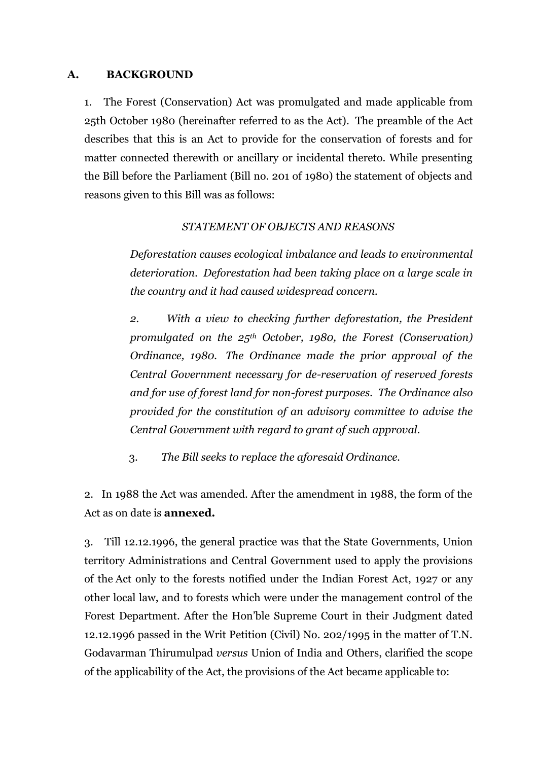### **A. BACKGROUND**

1. The Forest (Conservation) Act was promulgated and made applicable from 25th October 1980 (hereinafter referred to as the Act). The preamble of the Act describes that this is an Act to provide for the conservation of forests and for matter connected therewith or ancillary or incidental thereto. While presenting the Bill before the Parliament (Bill no. 201 of 1980) the statement of objects and reasons given to this Bill was as follows:

### *STATEMENT OF OBJECTS AND REASONS*

*Deforestation causes ecological imbalance and leads to environmental deterioration. Deforestation had been taking place on a large scale in the country and it had caused widespread concern.*

*2. With a view to checking further deforestation, the President promulgated on the 25th October, 1980, the Forest (Conservation) Ordinance, 1980. The Ordinance made the prior approval of the Central Government necessary for de-reservation of reserved forests and for use of forest land for non-forest purposes. The Ordinance also provided for the constitution of an advisory committee to advise the Central Government with regard to grant of such approval.*

3. *The Bill seeks to replace the aforesaid Ordinance.*

2. In 1988 the Act was amended. After the amendment in 1988, the form of the Act as on date is **annexed.**

3. Till 12.12.1996, the general practice was that the State Governments, Union territory Administrations and Central Government used to apply the provisions of the Act only to the forests notified under the Indian Forest Act, 1927 or any other local law, and to forests which were under the management control of the Forest Department. After the Hon'ble Supreme Court in their Judgment dated 12.12.1996 passed in the Writ Petition (Civil) No. 202/1995 in the matter of T.N. Godavarman Thirumulpad *versus* Union of India and Others, clarified the scope of the applicability of the Act, the provisions of the Act became applicable to: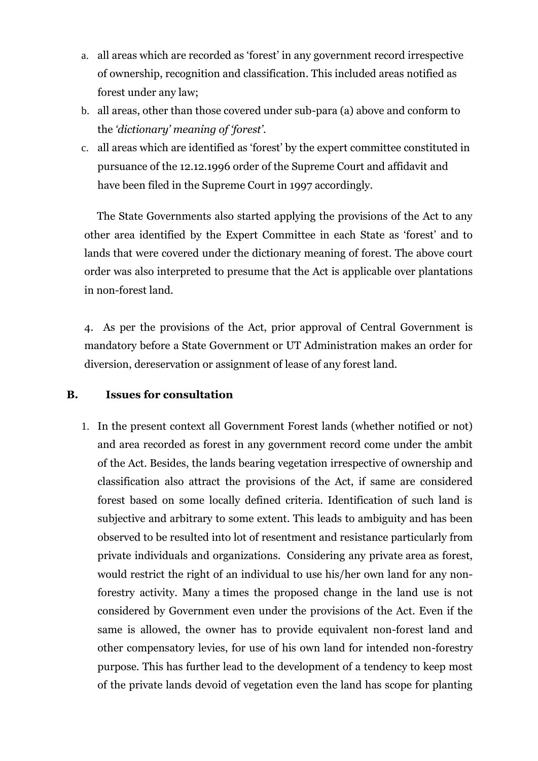- a. all areas which are recorded as 'forest' in any government record irrespective of ownership, recognition and classification. This included areas notified as forest under any law;
- b. all areas, other than those covered under sub-para (a) above and conform to the *'dictionary' meaning of 'forest'*.
- c. all areas which are identified as 'forest' by the expert committee constituted in pursuance of the 12.12.1996 order of the Supreme Court and affidavit and have been filed in the Supreme Court in 1997 accordingly.

The State Governments also started applying the provisions of the Act to any other area identified by the Expert Committee in each State as 'forest' and to lands that were covered under the dictionary meaning of forest. The above court order was also interpreted to presume that the Act is applicable over plantations in non-forest land.

4. As per the provisions of the Act, prior approval of Central Government is mandatory before a State Government or UT Administration makes an order for diversion, dereservation or assignment of lease of any forest land.

### **B. Issues for consultation**

1. In the present context all Government Forest lands (whether notified or not) and area recorded as forest in any government record come under the ambit of the Act. Besides, the lands bearing vegetation irrespective of ownership and classification also attract the provisions of the Act, if same are considered forest based on some locally defined criteria. Identification of such land is subjective and arbitrary to some extent. This leads to ambiguity and has been observed to be resulted into lot of resentment and resistance particularly from private individuals and organizations. Considering any private area as forest, would restrict the right of an individual to use his/her own land for any nonforestry activity. Many a times the proposed change in the land use is not considered by Government even under the provisions of the Act. Even if the same is allowed, the owner has to provide equivalent non-forest land and other compensatory levies, for use of his own land for intended non-forestry purpose. This has further lead to the development of a tendency to keep most of the private lands devoid of vegetation even the land has scope for planting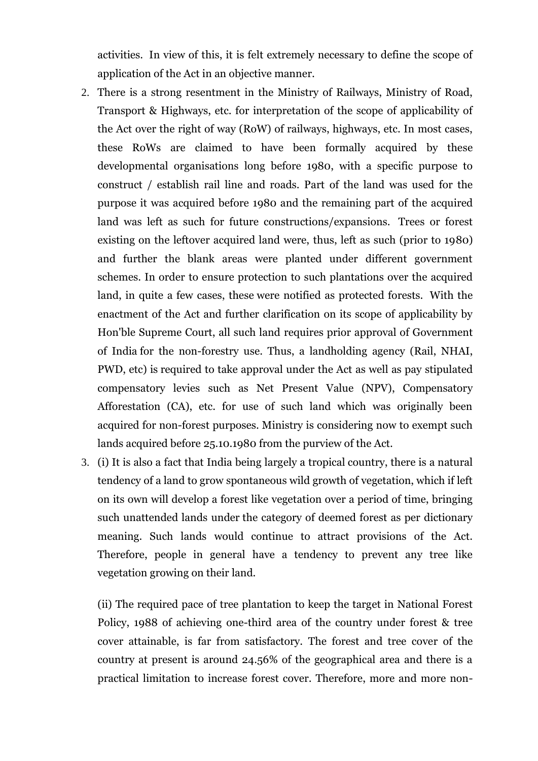activities. In view of this, it is felt extremely necessary to define the scope of application of the Act in an objective manner.

- 2. There is a strong resentment in the Ministry of Railways, Ministry of Road, Transport & Highways, etc. for interpretation of the scope of applicability of the Act over the right of way (RoW) of railways, highways, etc. In most cases, these RoWs are claimed to have been formally acquired by these developmental organisations long before 1980, with a specific purpose to construct / establish rail line and roads. Part of the land was used for the purpose it was acquired before 1980 and the remaining part of the acquired land was left as such for future constructions/expansions. Trees or forest existing on the leftover acquired land were, thus, left as such (prior to 1980) and further the blank areas were planted under different government schemes. In order to ensure protection to such plantations over the acquired land, in quite a few cases, these were notified as protected forests. With the enactment of the Act and further clarification on its scope of applicability by Hon'ble Supreme Court, all such land requires prior approval of Government of India for the non-forestry use. Thus, a landholding agency (Rail, NHAI, PWD, etc) is required to take approval under the Act as well as pay stipulated compensatory levies such as Net Present Value (NPV), Compensatory Afforestation (CA), etc. for use of such land which was originally been acquired for non-forest purposes. Ministry is considering now to exempt such lands acquired before 25.10.1980 from the purview of the Act.
- 3. (i) It is also a fact that India being largely a tropical country, there is a natural tendency of a land to grow spontaneous wild growth of vegetation, which if left on its own will develop a forest like vegetation over a period of time, bringing such unattended lands under the category of deemed forest as per dictionary meaning. Such lands would continue to attract provisions of the Act. Therefore, people in general have a tendency to prevent any tree like vegetation growing on their land.

(ii) The required pace of tree plantation to keep the target in National Forest Policy, 1988 of achieving one-third area of the country under forest & tree cover attainable, is far from satisfactory. The forest and tree cover of the country at present is around 24.56% of the geographical area and there is a practical limitation to increase forest cover. Therefore, more and more non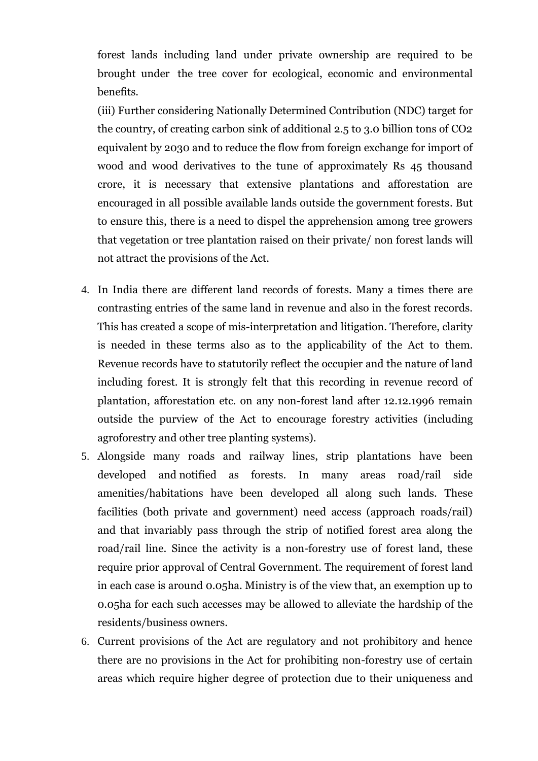forest lands including land under private ownership are required to be brought under the tree cover for ecological, economic and environmental benefits.

(iii) Further considering Nationally Determined Contribution (NDC) target for the country, of creating carbon sink of additional 2.5 to 3.0 billion tons of CO2 equivalent by 2030 and to reduce the flow from foreign exchange for import of wood and wood derivatives to the tune of approximately Rs 45 thousand crore, it is necessary that extensive plantations and afforestation are encouraged in all possible available lands outside the government forests. But to ensure this, there is a need to dispel the apprehension among tree growers that vegetation or tree plantation raised on their private/ non forest lands will not attract the provisions of the Act.

- 4. In India there are different land records of forests. Many a times there are contrasting entries of the same land in revenue and also in the forest records. This has created a scope of mis-interpretation and litigation. Therefore, clarity is needed in these terms also as to the applicability of the Act to them. Revenue records have to statutorily reflect the occupier and the nature of land including forest. It is strongly felt that this recording in revenue record of plantation, afforestation etc. on any non-forest land after 12.12.1996 remain outside the purview of the Act to encourage forestry activities (including agroforestry and other tree planting systems).
- 5. Alongside many roads and railway lines, strip plantations have been developed and notified as forests. In many areas road/rail side amenities/habitations have been developed all along such lands. These facilities (both private and government) need access (approach roads/rail) and that invariably pass through the strip of notified forest area along the road/rail line. Since the activity is a non-forestry use of forest land, these require prior approval of Central Government. The requirement of forest land in each case is around 0.05ha. Ministry is of the view that, an exemption up to 0.05ha for each such accesses may be allowed to alleviate the hardship of the residents/business owners.
- 6. Current provisions of the Act are regulatory and not prohibitory and hence there are no provisions in the Act for prohibiting non-forestry use of certain areas which require higher degree of protection due to their uniqueness and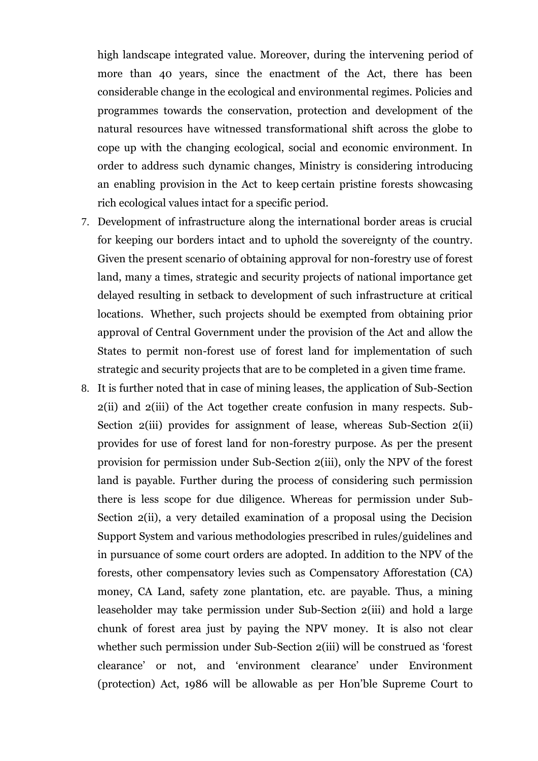high landscape integrated value. Moreover, during the intervening period of more than 40 years, since the enactment of the Act, there has been considerable change in the ecological and environmental regimes. Policies and programmes towards the conservation, protection and development of the natural resources have witnessed transformational shift across the globe to cope up with the changing ecological, social and economic environment. In order to address such dynamic changes, Ministry is considering introducing an enabling provision in the Act to keep certain pristine forests showcasing rich ecological values intact for a specific period.

- 7. Development of infrastructure along the international border areas is crucial for keeping our borders intact and to uphold the sovereignty of the country. Given the present scenario of obtaining approval for non-forestry use of forest land, many a times, strategic and security projects of national importance get delayed resulting in setback to development of such infrastructure at critical locations. Whether, such projects should be exempted from obtaining prior approval of Central Government under the provision of the Act and allow the States to permit non-forest use of forest land for implementation of such strategic and security projects that are to be completed in a given time frame.
- 8. It is further noted that in case of mining leases, the application of Sub-Section 2(ii) and 2(iii) of the Act together create confusion in many respects. Sub-Section 2(iii) provides for assignment of lease, whereas Sub-Section 2(ii) provides for use of forest land for non-forestry purpose. As per the present provision for permission under Sub-Section 2(iii), only the NPV of the forest land is payable. Further during the process of considering such permission there is less scope for due diligence. Whereas for permission under Sub-Section 2(ii), a very detailed examination of a proposal using the Decision Support System and various methodologies prescribed in rules/guidelines and in pursuance of some court orders are adopted. In addition to the NPV of the forests, other compensatory levies such as Compensatory Afforestation (CA) money, CA Land, safety zone plantation, etc. are payable. Thus, a mining leaseholder may take permission under Sub-Section 2(iii) and hold a large chunk of forest area just by paying the NPV money. It is also not clear whether such permission under Sub-Section 2(iii) will be construed as 'forest clearance' or not, and 'environment clearance' under Environment (protection) Act, 1986 will be allowable as per Hon'ble Supreme Court to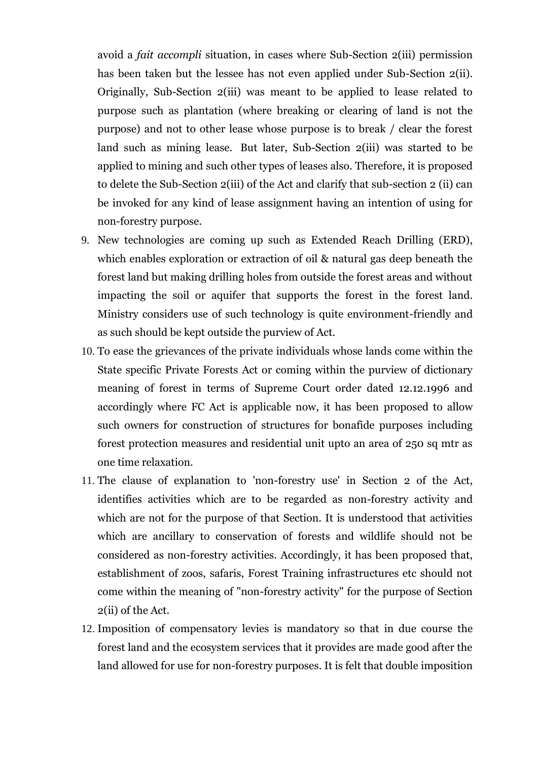avoid a *fait accompli* situation, in cases where Sub-Section 2(iii) permission has been taken but the lessee has not even applied under Sub-Section 2(ii). Originally, Sub-Section 2(iii) was meant to be applied to lease related to purpose such as plantation (where breaking or clearing of land is not the purpose) and not to other lease whose purpose is to break / clear the forest land such as mining lease. But later, Sub-Section 2(iii) was started to be applied to mining and such other types of leases also. Therefore, it is proposed to delete the Sub-Section 2(iii) of the Act and clarify that sub-section 2 (ii) can be invoked for any kind of lease assignment having an intention of using for non-forestry purpose.

- 9. New technologies are coming up such as Extended Reach Drilling (ERD), which enables exploration or extraction of oil & natural gas deep beneath the forest land but making drilling holes from outside the forest areas and without impacting the soil or aquifer that supports the forest in the forest land. Ministry considers use of such technology is quite environment-friendly and as such should be kept outside the purview of Act.
- 10. To ease the grievances of the private individuals whose lands come within the State specific Private Forests Act or coming within the purview of dictionary meaning of forest in terms of Supreme Court order dated 12.12.1996 and accordingly where FC Act is applicable now, it has been proposed to allow such owners for construction of structures for bonafide purposes including forest protection measures and residential unit upto an area of 250 sq mtr as one time relaxation.
- 11. The clause of explanation to 'non-forestry use' in Section 2 of the Act, identifies activities which are to be regarded as non-forestry activity and which are not for the purpose of that Section. It is understood that activities which are ancillary to conservation of forests and wildlife should not be considered as non-forestry activities. Accordingly, it has been proposed that, establishment of zoos, safaris, Forest Training infrastructures etc should not come within the meaning of "non-forestry activity" for the purpose of Section 2(ii) of the Act.
- 12. Imposition of compensatory levies is mandatory so that in due course the forest land and the ecosystem services that it provides are made good after the land allowed for use for non-forestry purposes. It is felt that double imposition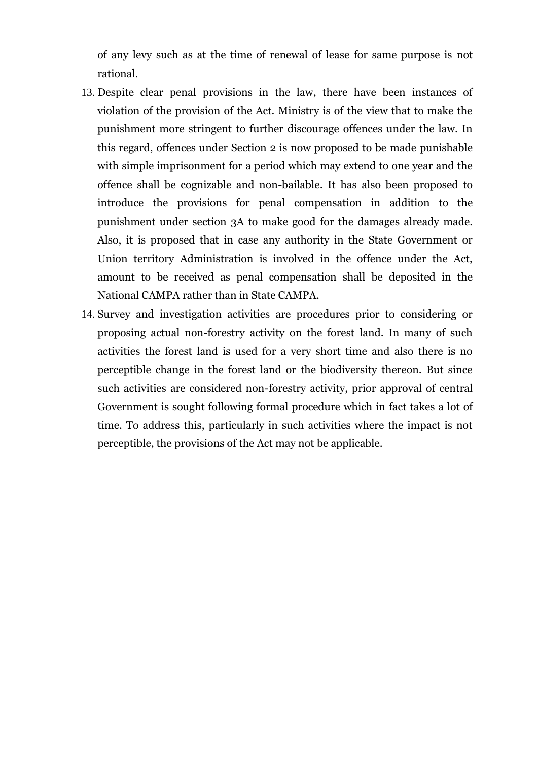of any levy such as at the time of renewal of lease for same purpose is not rational.

- 13. Despite clear penal provisions in the law, there have been instances of violation of the provision of the Act. Ministry is of the view that to make the punishment more stringent to further discourage offences under the law. In this regard, offences under Section 2 is now proposed to be made punishable with simple imprisonment for a period which may extend to one year and the offence shall be cognizable and non-bailable. It has also been proposed to introduce the provisions for penal compensation in addition to the punishment under section 3A to make good for the damages already made. Also, it is proposed that in case any authority in the State Government or Union territory Administration is involved in the offence under the Act, amount to be received as penal compensation shall be deposited in the National CAMPA rather than in State CAMPA.
- 14. Survey and investigation activities are procedures prior to considering or proposing actual non-forestry activity on the forest land. In many of such activities the forest land is used for a very short time and also there is no perceptible change in the forest land or the biodiversity thereon. But since such activities are considered non-forestry activity, prior approval of central Government is sought following formal procedure which in fact takes a lot of time. To address this, particularly in such activities where the impact is not perceptible, the provisions of the Act may not be applicable.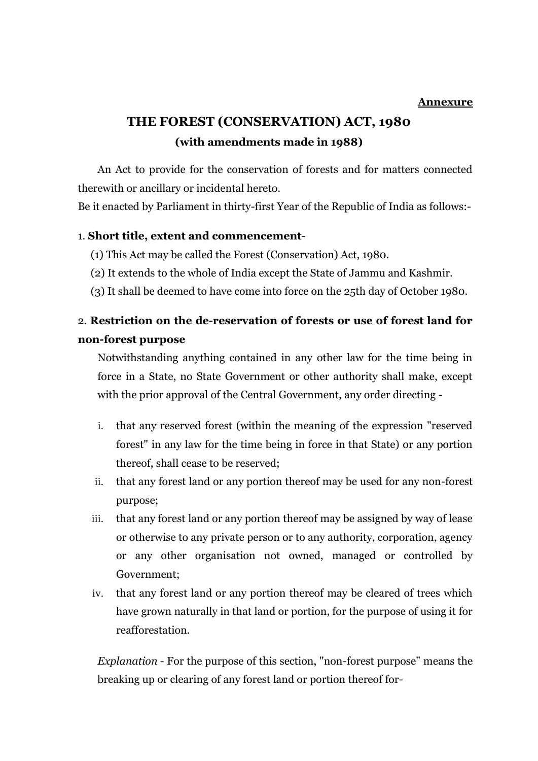### **Annexure**

### **THE FOREST (CONSERVATION) ACT, 1980 (with amendments made in 1988)**

An Act to provide for the conservation of forests and for matters connected therewith or ancillary or incidental hereto.

Be it enacted by Parliament in thirty-first Year of the Republic of India as follows:-

### 1. **Short title, extent and commencement**-

- (1) This Act may be called the Forest (Conservation) Act, 1980.
- (2) It extends to the whole of India except the State of Jammu and Kashmir.
- (3) It shall be deemed to have come into force on the 25th day of October 1980.

### 2. **Restriction on the de-reservation of forests or use of forest land for non-forest purpose**

Notwithstanding anything contained in any other law for the time being in force in a State, no State Government or other authority shall make, except with the prior approval of the Central Government, any order directing -

- i. that any reserved forest (within the meaning of the expression "reserved forest" in any law for the time being in force in that State) or any portion thereof, shall cease to be reserved;
- ii. that any forest land or any portion thereof may be used for any non-forest purpose;
- iii. that any forest land or any portion thereof may be assigned by way of lease or otherwise to any private person or to any authority, corporation, agency or any other organisation not owned, managed or controlled by Government;
- iv. that any forest land or any portion thereof may be cleared of trees which have grown naturally in that land or portion, for the purpose of using it for reafforestation.

*Explanation* - For the purpose of this section, "non-forest purpose" means the breaking up or clearing of any forest land or portion thereof for-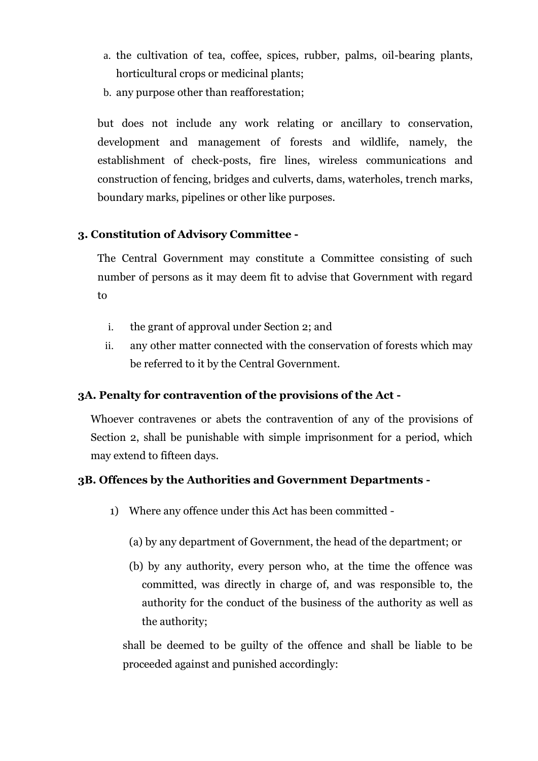- a. the cultivation of tea, coffee, spices, rubber, palms, oil-bearing plants, horticultural crops or medicinal plants;
- b. any purpose other than reafforestation;

but does not include any work relating or ancillary to conservation, development and management of forests and wildlife, namely, the establishment of check-posts, fire lines, wireless communications and construction of fencing, bridges and culverts, dams, waterholes, trench marks, boundary marks, pipelines or other like purposes.

### **3. Constitution of Advisory Committee -**

The Central Government may constitute a Committee consisting of such number of persons as it may deem fit to advise that Government with regard to

- i. the grant of approval under Section 2; and
- ii. any other matter connected with the conservation of forests which may be referred to it by the Central Government.

### **3A. Penalty for contravention of the provisions of the Act -**

Whoever contravenes or abets the contravention of any of the provisions of Section 2, shall be punishable with simple imprisonment for a period, which may extend to fifteen days.

### **3B. Offences by the Authorities and Government Departments -**

- 1) Where any offence under this Act has been committed
	- (a) by any department of Government, the head of the department; or
	- (b) by any authority, every person who, at the time the offence was committed, was directly in charge of, and was responsible to, the authority for the conduct of the business of the authority as well as the authority;

shall be deemed to be guilty of the offence and shall be liable to be proceeded against and punished accordingly: